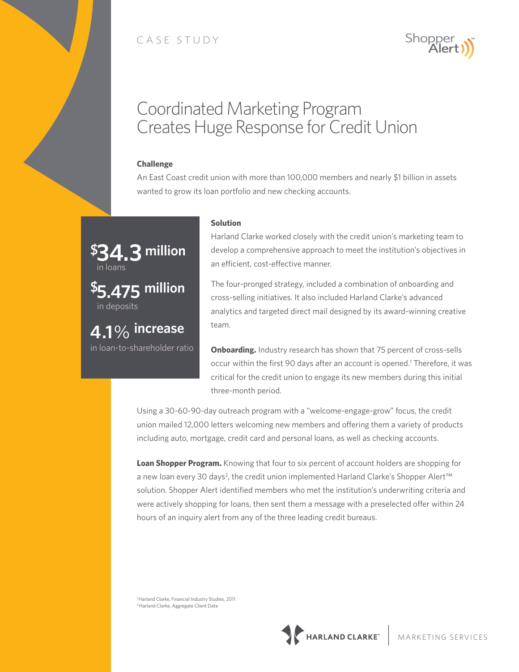# CASE STUDY



# Coordinated Marketing Program Creates Huge Response for Credit Union

### **Challenge**

An East Coast credit union with more than 100,000 members and nearly \$1 billion in assets wanted to grow its loan portfolio and new checking accounts.



in loan-to-shareholder ratio

#### **Solution**

Harland Clarke worked closely with the credit union's marketing team to develop a comprehensive approach to meet the institution's objectives in an efficient, cost-effective manner.

The four-pronged strategy, included a combination of onboarding and cross-selling initiatives. It also included Harland Clarke's advanced analytics and targeted direct mail designed by its award-winning creative team.

**Onboarding.** Industry research has shown that 75 percent of cross-sells occur within the first 90 days after an account is opened.<sup>1</sup> Therefore, it was critical for the credit union to engage its new members during this initial three-month period.

Using a 30-60-90-day outreach program with a "welcome-engage-grow" focus, the credit union mailed 12,000 letters welcoming new members and offering them a variety of products including auto, mortgage, credit card and personal loans, as well as checking accounts.

**Loan Shopper Program.** Knowing that four to six percent of account holders are shopping for a new loan every 30 days<sup>2</sup>, the credit union implemented Harland Clarke's Shopper Alert™ solution. Shopper Alert identified members who met the institution's underwriting criteria and were actively shopping for loans, then sent them a message with a preselected offer within 24 hours of an inquiry alert from any of the three leading credit bureaus.

1 Harland Clarke, Financial Industry Studies, 2011 2 Harland Clarke, Aggregate Client Data

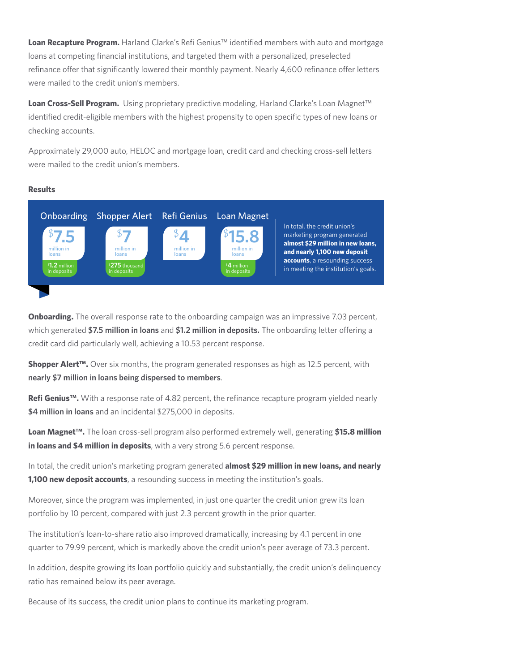**Loan Recapture Program.** Harland Clarke's Refi Genius™ identified members with auto and mortgage loans at competing financial institutions, and targeted them with a personalized, preselected refinance offer that significantly lowered their monthly payment. Nearly 4,600 refinance offer letters were mailed to the credit union's members.

Loan Cross-Sell Program. Using proprietary predictive modeling, Harland Clarke's Loan Magnet<sup>™</sup> identified credit-eligible members with the highest propensity to open specific types of new loans or checking accounts.

Approximately 29,000 auto, HELOC and mortgage loan, credit card and checking cross-sell letters were mailed to the credit union's members.

### **Results**



**Onboarding.** The overall response rate to the onboarding campaign was an impressive 7.03 percent, which generated **\$7.5 million in loans** and **\$1.2 million in deposits.** The onboarding letter offering a credit card did particularly well, achieving a 10.53 percent response.

**Shopper Alert™.** Over six months, the program generated responses as high as 12.5 percent, with **nearly \$7 million in loans being dispersed to members**.

**Refi Genius™.** With a response rate of 4.82 percent, the refinance recapture program yielded nearly **\$4 million in loans** and an incidental \$275,000 in deposits.

**Loan Magnet™.** The loan cross-sell program also performed extremely well, generating **\$15.8 million in loans and \$4 million in deposits**, with a very strong 5.6 percent response.

In total, the credit union's marketing program generated **almost \$29 million in new loans, and nearly 1,100 new deposit accounts**, a resounding success in meeting the institution's goals.

Moreover, since the program was implemented, in just one quarter the credit union grew its loan portfolio by 10 percent, compared with just 2.3 percent growth in the prior quarter.

The institution's loan-to-share ratio also improved dramatically, increasing by 4.1 percent in one quarter to 79.99 percent, which is markedly above the credit union's peer average of 73.3 percent.

In addition, despite growing its loan portfolio quickly and substantially, the credit union's delinquency ratio has remained below its peer average.

Because of its success, the credit union plans to continue its marketing program.